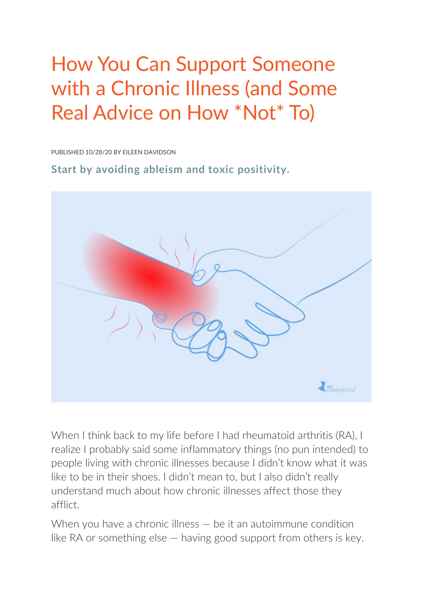# How You Can Support Someone with a Chronic Illness (and Some Real Advice on How \*Not\* To)

PUBLISHED 10/28/20 BY EILEEN DAVIDSON

**Start by avoiding ableism and toxic positivity.**



When I think back to my life before I had rheumatoid arthritis (RA), I realize I probably said some inflammatory things (no pun intended) to people living with chronic illnesses because I didn't know what it was like to be in their shoes. I didn't mean to, but I also didn't really understand much about how chronic illnesses affect those they afflict.

When you have a chronic illness – be it an autoimmune condition like RA or something else — having good support from others is key.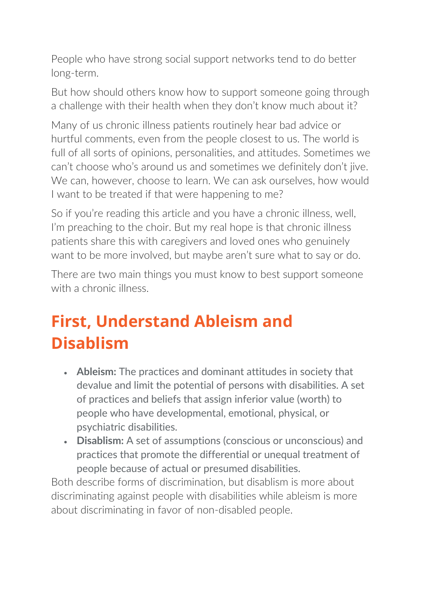People who have strong social support networks tend to do better long-term.

But how should others know how to support someone going through a challenge with their health when they don't know much about it?

Many of us chronic illness patients routinely hear bad advice or hurtful comments, even from the people closest to us. The world is full of all sorts of opinions, personalities, and attitudes. Sometimes we can't choose who's around us and sometimes we definitely don't jive. We can, however, choose to learn. We can ask ourselves, how would I want to be treated if that were happening to me?

So if you're reading this article and you have a chronic illness, well, I'm preaching to the choir. But my real hope is that chronic illness patients share this with caregivers and loved ones who genuinely want to be more involved, but maybe aren't sure what to say or do.

There are two main things you must know to best support someone with a chronic illness.

# **First, Understand Ableism and Disablism**

- **Ableism:** The practices and dominant attitudes in society that devalue and limit the potential of persons with disabilities. A set of practices and beliefs that assign inferior value (worth) to people who have developmental, emotional, physical, or psychiatric disabilities.
- **Disablism:** A set of assumptions (conscious or unconscious) and practices that promote the differential or unequal treatment of people because of actual or presumed disabilities.

Both describe forms of discrimination, but disablism is more about discriminating against people with disabilities while ableism is more about discriminating in favor of non-disabled people.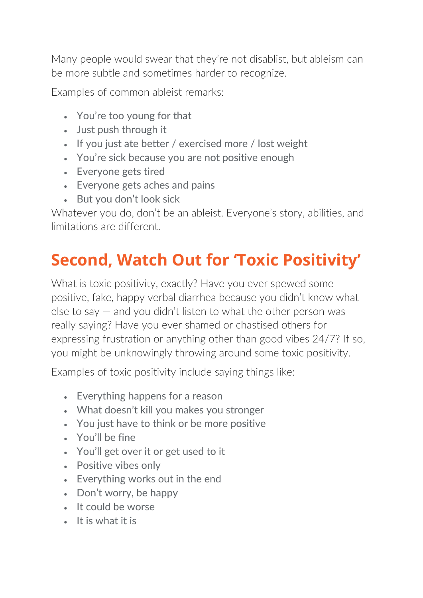Many people would swear that they're not disablist, but ableism can be more subtle and sometimes harder to recognize.

Examples of common ableist remarks:

- You're too young for that
- Just push through it
- If you just ate better / exercised more / lost weight
- You're sick because you are not positive enough
- Everyone gets tired
- Everyone gets aches and pains
- But you don't look sick

Whatever you do, don't be an ableist. Everyone's story, abilities, and limitations are different.

# **Second, Watch Out for 'Toxic Positivity'**

What is toxic positivity, exactly? Have you ever spewed some positive, fake, happy verbal diarrhea because you didn't know what else to say — and you didn't listen to what the other person was really saying? Have you ever shamed or chastised others for expressing frustration or anything other than good vibes 24/7? If so, you might be unknowingly throwing around some toxic positivity.

Examples of toxic positivity include saying things like:

- Everything happens for a reason
- What doesn't kill you makes you stronger
- You just have to think or be more positive
- You'll be fine
- You'll get over it or get used to it
- Positive vibes only
- Everything works out in the end
- Don't worry, be happy
- It could be worse
- It is what it is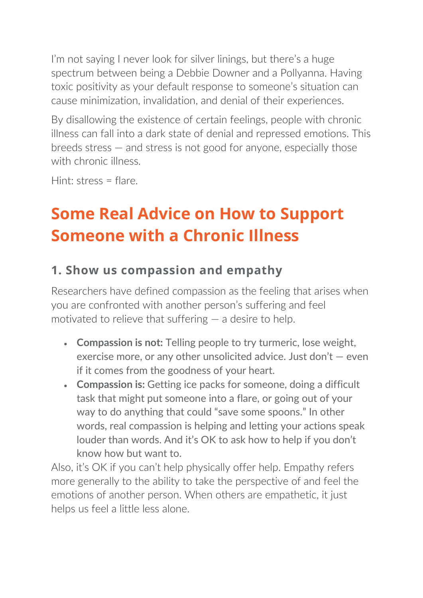I'm not saying I never look for silver linings, but there's a huge spectrum between being a Debbie Downer and a Pollyanna. Having toxic positivity as your default response to someone's situation can cause minimization, invalidation, and denial of their experiences.

By disallowing the existence of certain feelings, people with chronic illness can fall into a dark state of denial and repressed emotions. This breeds stress — and stress is not good for anyone, especially those with chronic illness.

Hint: stress = flare.

# **Some Real Advice on How to Support Someone with a Chronic Illness**

### **1. Show us compassion and empathy**

Researchers have defined compassion as the feeling that arises when you are confronted with another person's suffering and feel motivated to relieve that suffering — a desire to help.

- **Compassion is not:** Telling people to try turmeric, lose weight, exercise more, or any other unsolicited advice. Just don't — even if it comes from the goodness of your heart.
- **Compassion is:** Getting ice packs for someone, doing a difficult task that might put someone into a flare, or going out of your way to do anything that could "save some spoons." In other words, real compassion is helping and letting your actions speak louder than words. And it's OK to ask how to help if you don't know how but want to.

Also, it's OK if you can't help physically offer help. Empathy refers more generally to the ability to take the perspective of and feel the emotions of another person. When others are empathetic, it just helps us feel a little less alone.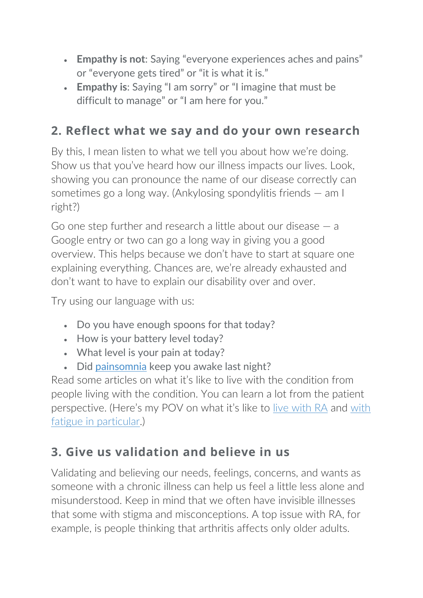- **Empathy is not**: Saying "everyone experiences aches and pains" or "everyone gets tired" or "it is what it is."
- **Empathy is**: Saying "I am sorry" or "I imagine that must be difficult to manage" or "I am here for you."

### **2. Reflect what we say and do your own research**

By this, I mean listen to what we tell you about how we're doing. Show us that you've heard how our illness impacts our lives. Look, showing you can pronounce the name of our disease correctly can sometimes go a long way. (Ankylosing spondylitis friends — am I right?)

Go one step further and research a little about our disease — a Google entry or two can go a long way in giving you a good overview. This helps because we don't have to start at square one explaining everything. Chances are, we're already exhausted and don't want to have to explain our disability over and over.

Try using our language with us:

- Do you have enough spoons for that today?
- How is your battery level today?
- What level is your pain at today?
- Did [painsomnia](http://creakyjoints.org/acr-2018/painsomnia-tips/) keep you awake last night?

Read some articles on what it's like to live with the condition from people living with the condition. You can learn a lot from the patient perspective. (Here's my POV on what it's like to [live with RA](http://creakyjoints.org/living-with-arthritis/explain-rheumatoid-arthritis-to-others/) and [with](http://creakyjoints.org/living-with-arthritis/explain-chronic-fatigue/)  [fatigue in particular.](http://creakyjoints.org/living-with-arthritis/explain-chronic-fatigue/))

### **3. Give us validation and believe in us**

Validating and believing our needs, feelings, concerns, and wants as someone with a chronic illness can help us feel a little less alone and misunderstood. Keep in mind that we often have invisible illnesses that some with stigma and misconceptions. A top issue with RA, for example, is people thinking that arthritis affects only older adults.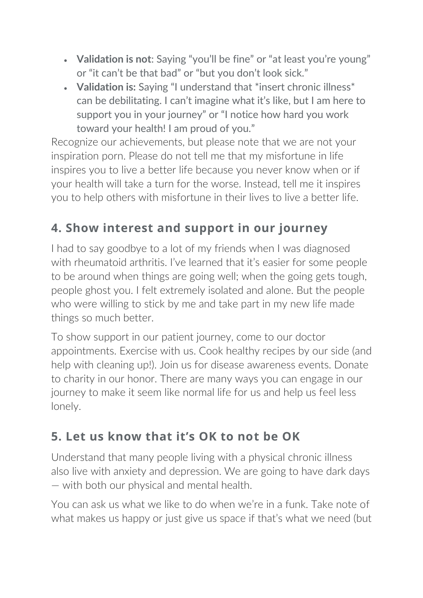- **Validation is not**: Saying "you'll be fine" or "at least you're young" or "it can't be that bad" or "but you don't look sick."
- **Validation is:** Saying "I understand that \*insert chronic illness\* can be debilitating. I can't imagine what it's like, but I am here to support you in your journey" or "I notice how hard you work toward your health! I am proud of you."

Recognize our achievements, but please note that we are not your inspiration porn. Please do not tell me that my misfortune in life inspires you to live a better life because you never know when or if your health will take a turn for the worse. Instead, tell me it inspires you to help others with misfortune in their lives to live a better life.

## **4. Show interest and support in our journey**

I had to say goodbye to a lot of my friends when I was diagnosed with rheumatoid arthritis. I've learned that it's easier for some people to be around when things are going well; when the going gets tough, people ghost you. I felt extremely isolated and alone. But the people who were willing to stick by me and take part in my new life made things so much better.

To show support in our patient journey, come to our doctor appointments. Exercise with us. Cook healthy recipes by our side (and help with cleaning up!). Join us for disease awareness events. Donate to charity in our honor. There are many ways you can engage in our journey to make it seem like normal life for us and help us feel less lonely.

### **5. Let us know that it's OK to not be OK**

Understand that many people living with a physical chronic illness also live with anxiety and depression. We are going to have dark days — with both our physical and mental health.

You can ask us what we like to do when we're in a funk. Take note of what makes us happy or just give us space if that's what we need (but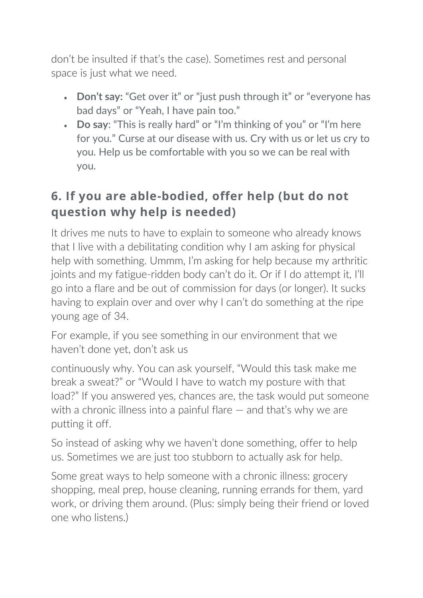don't be insulted if that's the case). Sometimes rest and personal space is just what we need.

- **Don't say:** "Get over it" or "just push through it" or "everyone has bad days" or "Yeah, I have pain too."
- **Do say**: "This is really hard" or "I'm thinking of you" or "I'm here for you." Curse at our disease with us. Cry with us or let us cry to you. Help us be comfortable with you so we can be real with you.

### **6. If you are able-bodied, offer help (but do not question why help is needed)**

It drives me nuts to have to explain to someone who already knows that I live with a debilitating condition why I am asking for physical help with something. Ummm, I'm asking for help because my arthritic joints and my fatigue-ridden body can't do it. Or if I do attempt it, I'll go into a flare and be out of commission for days (or longer). It sucks having to explain over and over why I can't do something at the ripe young age of 34.

For example, if you see something in our environment that we haven't done yet, don't ask us

continuously why. You can ask yourself, "Would this task make me break a sweat?" or "Would I have to watch my posture with that load?" If you answered yes, chances are, the task would put someone with a chronic illness into a painful flare – and that's why we are putting it off.

So instead of asking why we haven't done something, offer to help us. Sometimes we are just too stubborn to actually ask for help.

Some great ways to help someone with a chronic illness: grocery shopping, meal prep, house cleaning, running errands for them, yard work, or driving them around. (Plus: simply being their friend or loved one who listens.)